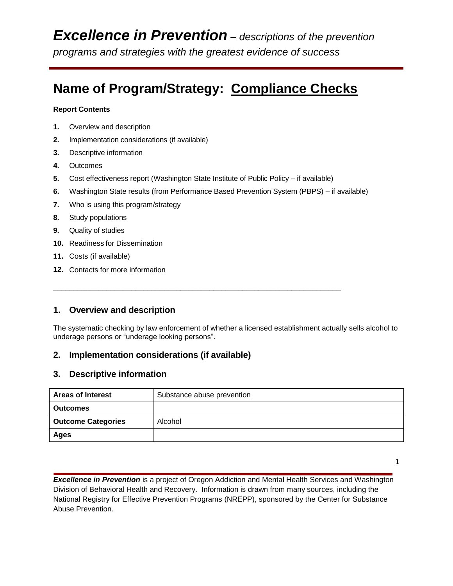# **Name of Program/Strategy: Compliance Checks**

#### **Report Contents**

- **1.** Overview and description
- **2.** Implementation considerations (if available)
- **3.** Descriptive information
- **4.** Outcomes
- **5.** Cost effectiveness report (Washington State Institute of Public Policy if available)

**\_\_\_\_\_\_\_\_\_\_\_\_\_\_\_\_\_\_\_\_\_\_\_\_\_\_\_\_\_\_\_\_\_\_\_\_\_\_\_\_\_\_\_\_\_\_\_\_\_\_\_\_\_\_\_\_\_\_\_\_\_\_\_\_\_\_\_\_\_\_**

- **6.** Washington State results (from Performance Based Prevention System (PBPS) if available)
- **7.** Who is using this program/strategy
- **8.** Study populations
- **9.** Quality of studies
- **10.** Readiness for Dissemination
- **11.** Costs (if available)
- **12.** Contacts for more information

## **1. Overview and description**

The systematic checking by law enforcement of whether a licensed establishment actually sells alcohol to underage persons or "underage looking persons".

### **2. Implementation considerations (if available)**

#### **3. Descriptive information**

| <b>Areas of Interest</b>  | Substance abuse prevention |  |
|---------------------------|----------------------------|--|
| <b>Outcomes</b>           |                            |  |
| <b>Outcome Categories</b> | Alcohol                    |  |
| Ages                      |                            |  |

1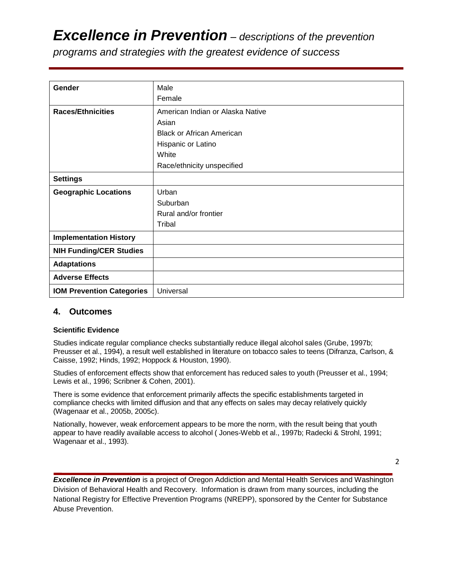# *Excellence in Prevention – descriptions of the prevention*

*programs and strategies with the greatest evidence of success*

| Gender                           | Male                             |  |
|----------------------------------|----------------------------------|--|
|                                  | Female                           |  |
| <b>Races/Ethnicities</b>         | American Indian or Alaska Native |  |
|                                  | Asian                            |  |
|                                  | <b>Black or African American</b> |  |
|                                  | Hispanic or Latino               |  |
|                                  | White                            |  |
|                                  | Race/ethnicity unspecified       |  |
| <b>Settings</b>                  |                                  |  |
| <b>Geographic Locations</b>      | Urban                            |  |
|                                  | Suburban                         |  |
|                                  | Rural and/or frontier            |  |
|                                  | Tribal                           |  |
| <b>Implementation History</b>    |                                  |  |
| <b>NIH Funding/CER Studies</b>   |                                  |  |
| <b>Adaptations</b>               |                                  |  |
| <b>Adverse Effects</b>           |                                  |  |
| <b>IOM Prevention Categories</b> | Universal                        |  |

## **4. Outcomes**

#### **Scientific Evidence**

Studies indicate regular compliance checks substantially reduce illegal alcohol sales (Grube, 1997b; Preusser et al., 1994), a result well established in literature on tobacco sales to teens (Difranza, Carlson, & Caisse, 1992; Hinds, 1992; Hoppock & Houston, 1990).

Studies of enforcement effects show that enforcement has reduced sales to youth (Preusser et al., 1994; Lewis et al., 1996; Scribner & Cohen, 2001).

There is some evidence that enforcement primarily affects the specific establishments targeted in compliance checks with limited diffusion and that any effects on sales may decay relatively quickly (Wagenaar et al., 2005b, 2005c).

Nationally, however, weak enforcement appears to be more the norm, with the result being that youth appear to have readily available access to alcohol ( Jones-Webb et al., 1997b; Radecki & Strohl, 1991; Wagenaar et al., 1993).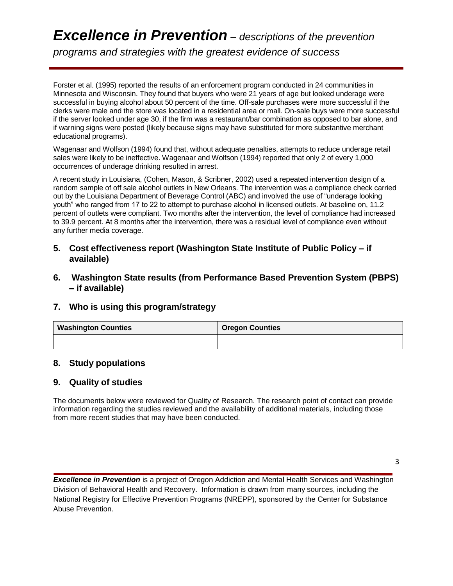# *Excellence in Prevention – descriptions of the prevention programs and strategies with the greatest evidence of success*

Forster et al. (1995) reported the results of an enforcement program conducted in 24 communities in Minnesota and Wisconsin. They found that buyers who were 21 years of age but looked underage were successful in buying alcohol about 50 percent of the time. Off-sale purchases were more successful if the clerks were male and the store was located in a residential area or mall. On-sale buys were more successful if the server looked under age 30, if the firm was a restaurant/bar combination as opposed to bar alone, and if warning signs were posted (likely because signs may have substituted for more substantive merchant educational programs).

Wagenaar and Wolfson (1994) found that, without adequate penalties, attempts to reduce underage retail sales were likely to be ineffective. Wagenaar and Wolfson (1994) reported that only 2 of every 1,000 occurrences of underage drinking resulted in arrest.

A recent study in Louisiana, (Cohen, Mason, & Scribner, 2002) used a repeated intervention design of a random sample of off sale alcohol outlets in New Orleans. The intervention was a compliance check carried out by the Louisiana Department of Beverage Control (ABC) and involved the use of "underage looking youth" who ranged from 17 to 22 to attempt to purchase alcohol in licensed outlets. At baseline on, 11.2 percent of outlets were compliant. Two months after the intervention, the level of compliance had increased to 39.9 percent. At 8 months after the intervention, there was a residual level of compliance even without any further media coverage.

### **5. Cost effectiveness report (Washington State Institute of Public Policy – if available)**

**6. Washington State results (from Performance Based Prevention System (PBPS) – if available)**

## **7. Who is using this program/strategy**

| <b>Washington Counties</b> | <b>Oregon Counties</b> |
|----------------------------|------------------------|
|                            |                        |

#### **8. Study populations**

## **9. Quality of studies**

The documents below were reviewed for Quality of Research. The research point of contact can provide information regarding the studies reviewed and the availability of additional materials, including those from more recent studies that may have been conducted.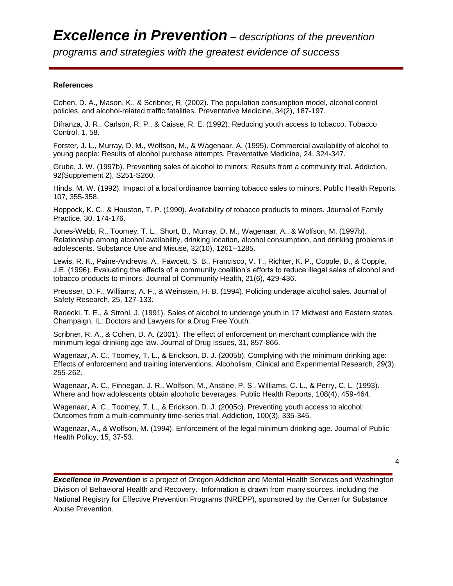*programs and strategies with the greatest evidence of success*

#### **References**

Cohen, D. A., Mason, K., & Scribner, R. (2002). The population consumption model, alcohol control policies, and alcohol-related traffic fatalities. Preventative Medicine, 34(2), 187-197.

Difranza, J. R., Carlson, R. P., & Caisse, R. E. (1992). Reducing youth access to tobacco. Tobacco Control, 1, 58.

Forster, J. L., Murray, D. M., Wolfson, M., & Wagenaar, A. (1995). Commercial availability of alcohol to young people: Results of alcohol purchase attempts. Preventative Medicine, 24, 324-347.

Grube, J. W. (1997b). Preventing sales of alcohol to minors: Results from a community trial. Addiction, 92(Supplement 2), S251-S260.

Hinds, M. W. (1992). Impact of a local ordinance banning tobacco sales to minors. Public Health Reports, 107, 355-358.

Hoppock, K. C., & Houston, T. P. (1990). Availability of tobacco products to minors. Journal of Family Practice, 30, 174-176.

Jones-Webb, R., Toomey, T. L., Short, B., Murray, D. M., Wagenaar, A., & Wolfson, M. (1997b). Relationship among alcohol availability, drinking location, alcohol consumption, and drinking problems in adolescents. Substance Use and Misuse, 32(10), 1261–1285.

Lewis, R. K., Paine-Andrews, A., Fawcett, S. B., Francisco, V. T., Richter, K. P., Copple, B., & Copple, J.E. (1996). Evaluating the effects of a community coalition's efforts to reduce illegal sales of alcohol and tobacco products to minors. Journal of Community Health, 21(6), 429-436.

Preusser, D. F., Williams, A. F., & Weinstein, H. B. (1994). Policing underage alcohol sales. Journal of Safety Research, 25, 127-133.

Radecki, T. E., & Strohl, J. (1991). Sales of alcohol to underage youth in 17 Midwest and Eastern states. Champaign, IL: Doctors and Lawyers for a Drug Free Youth.

Scribner, R. A., & Cohen, D. A. (2001). The effect of enforcement on merchant compliance with the minimum legal drinking age law. Journal of Drug Issues, 31, 857-866.

Wagenaar, A. C., Toomey, T. L., & Erickson, D. J. (2005b). Complying with the minimum drinking age: Effects of enforcement and training interventions. Alcoholism, Clinical and Experimental Research, 29(3), 255-262.

Wagenaar, A. C., Finnegan, J. R., Wolfson, M., Anstine, P. S., Williams, C. L., & Perry, C. L. (1993). Where and how adolescents obtain alcoholic beverages. Public Health Reports, 108(4), 459-464.

Wagenaar, A. C., Toomey, T. L., & Erickson, D. J. (2005c). Preventing youth access to alcohol: Outcomes from a multi-community time-series trial. Addiction, 100(3), 335-345.

Wagenaar, A., & Wolfson, M. (1994). Enforcement of the legal minimum drinking age. Journal of Public Health Policy, 15, 37-53.